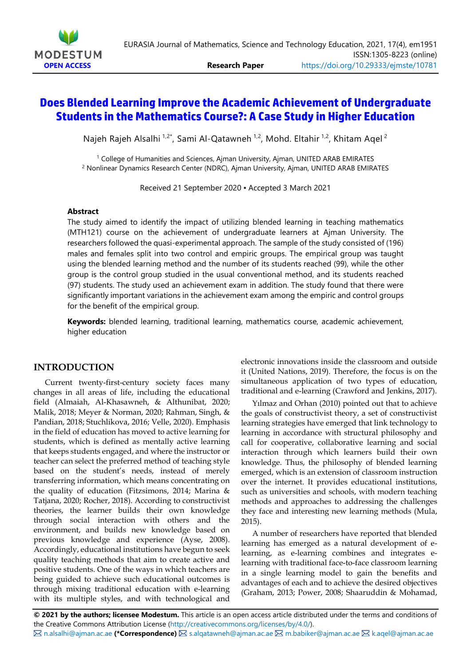

# **Does Blended Learning Improve the Academic Achievement of Undergraduate Students in the Mathematics Course?: A Case Study in Higher Education**

Najeh Rajeh Alsalhi <sup>1,2\*</sup>, Sami Al-Qatawneh <sup>1,2</sup>, Mohd. Eltahir <sup>1,2</sup>, Khitam Aqel <sup>2</sup>

<sup>1</sup> College of Humanities and Sciences, Ajman University, Ajman, UNITED ARAB EMIRATES <sup>2</sup> Nonlinear Dynamics Research Center (NDRC), Ajman University, Ajman, UNITED ARAB EMIRATES

Received 21 September 2020 ▪ Accepted 3 March 2021

### **Abstract**

The study aimed to identify the impact of utilizing blended learning in teaching mathematics (MTH121) course on the achievement of undergraduate learners at Ajman University. The researchers followed the quasi-experimental approach. The sample of the study consisted of (196) males and females split into two control and empiric groups. The empirical group was taught using the blended learning method and the number of its students reached (99), while the other group is the control group studied in the usual conventional method, and its students reached (97) students. The study used an achievement exam in addition. The study found that there were significantly important variations in the achievement exam among the empiric and control groups for the benefit of the empirical group.

**Keywords:** blended learning, traditional learning, mathematics course, academic achievement, higher education

## **INTRODUCTION**

Current twenty-first-century society faces many changes in all areas of life, including the educational field (Almaiah, Al-Khasawneh, & Althunibat, 2020; Malik, 2018; Meyer & Norman, 2020; Rahman, Singh, & Pandian, 2018; Stuchlikova, 2016; Velle, 2020). Emphasis in the field of education has moved to active learning for students, which is defined as mentally active learning that keeps students engaged, and where the instructor or teacher can select the preferred method of teaching style based on the student's needs, instead of merely transferring information, which means concentrating on the quality of education (Fitzsimons, 2014; Marina & Tatjana, 2020; Rocher, 2018). According to constructivist theories, the learner builds their own knowledge through social interaction with others and the environment, and builds new knowledge based on previous knowledge and experience (Ayse, 2008). Accordingly, educational institutions have begun to seek quality teaching methods that aim to create active and positive students. One of the ways in which teachers are being guided to achieve such educational outcomes is through mixing traditional education with e-learning with its multiple styles, and with technological and

electronic innovations inside the classroom and outside it (United Nations, 2019). Therefore, the focus is on the simultaneous application of two types of education, traditional and e-learning (Crawford and Jenkins, 2017).

Yılmaz and Orhan (2010) pointed out that to achieve the goals of constructivist theory, a set of constructivist learning strategies have emerged that link technology to learning in accordance with structural philosophy and call for cooperative, collaborative learning and social interaction through which learners build their own knowledge. Thus, the philosophy of blended learning emerged, which is an extension of classroom instruction over the internet. It provides educational institutions, such as universities and schools, with modern teaching methods and approaches to addressing the challenges they face and interesting new learning methods (Mula, 2015).

A number of researchers have reported that blended learning has emerged as a natural development of elearning, as e-learning combines and integrates elearning with traditional face-to-face classroom learning in a single learning model to gain the benefits and advantages of each and to achieve the desired objectives (Graham, 2013; Power, 2008; Shaaruddin & Mohamad,

**© 2021 by the authors; licensee Modestum.** This article is an open access article distributed under the terms and conditions of the Creative Commons Attribution License (http://creativecommons.org/licenses/by/4.0/). **⊠** n.alsalhi@ajman.ac.ae (**\*Correspondence)** ⊠ s.alqatawneh@ajman.ac.ae ⊠ m.babiker@ajman.ac.ae ⊠ k.aqel@ajman.ac.ae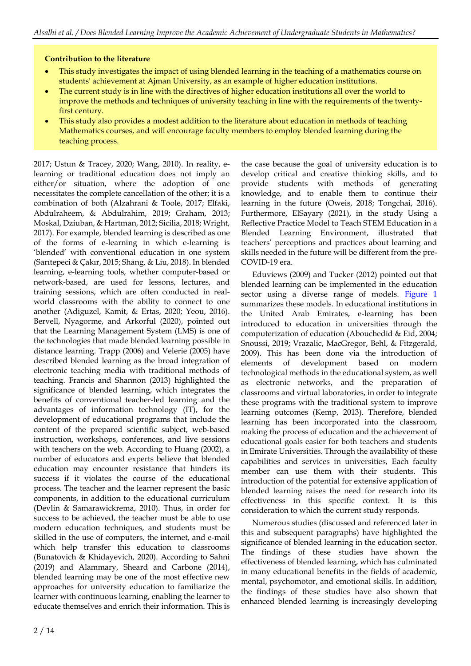## **Contribution to the literature**

- This study investigates the impact of using blended learning in the teaching of a mathematics course on students' achievement at Ajman University, as an example of higher education institutions.
- The current study is in line with the directives of higher education institutions all over the world to improve the methods and techniques of university teaching in line with the requirements of the twentyfirst century.
- This study also provides a modest addition to the literature about education in methods of teaching Mathematics courses, and will encourage faculty members to employ blended learning during the teaching process.

2017; Ustun & Tracey, 2020; Wang, 2010). In reality, elearning or traditional education does not imply an either/or situation, where the adoption of one necessitates the complete cancellation of the other; it is a combination of both (Alzahrani & Toole, 2017; Elfaki, Abdulraheem, & Abdulrahim, 2019; Graham, 2013; Moskal, Dziuban, & Hartman, 2012; Sicilia, 2018; Wright, 2017). For example, blended learning is described as one of the forms of e-learning in which e-learning is 'blended' with conventional education in one system (Sarıtepeci & Çakır, 2015; Shang, & Liu, 2018). In blended learning, e-learning tools, whether computer-based or network-based, are used for lessons, lectures, and training sessions, which are often conducted in realworld classrooms with the ability to connect to one another (Adiguzel, Kamit, & Ertas, 2020; Yeou, 2016). Bervell, Nyagorme, and Arkorful (2020), pointed out that the Learning Management System (LMS) is one of the technologies that made blended learning possible in distance learning. Trapp (2006) and Velerie (2005) have described blended learning as the broad integration of electronic teaching media with traditional methods of teaching. Francis and Shannon (2013) highlighted the significance of blended learning, which integrates the benefits of conventional teacher-led learning and the advantages of information technology (IT), for the development of educational programs that include the content of the prepared scientific subject, web-based instruction, workshops, conferences, and live sessions with teachers on the web. According to Huang (2002), a number of educators and experts believe that blended education may encounter resistance that hinders its success if it violates the course of the educational process. The teacher and the learner represent the basic components, in addition to the educational curriculum (Devlin & Samarawickrema, 2010). Thus, in order for success to be achieved, the teacher must be able to use modern education techniques, and students must be skilled in the use of computers, the internet, and e-mail which help transfer this education to classrooms (Bunatovich & Khidayevich, 2020). According to Sahni (2019) and Alammary, Sheard and Carbone (2014), blended learning may be one of the most effective new approaches for university education to familiarize the learner with continuous learning, enabling the learner to educate themselves and enrich their information. This is

the case because the goal of university education is to develop critical and creative thinking skills, and to provide students with methods of generating knowledge, and to enable them to continue their learning in the future (Oweis, 2018; Tongchai, 2016). Furthermore, ElSayary (2021), in the study Using a Reflective Practice Model to Teach STEM Education in a Blended Learning Environment, illustrated that teachers' perceptions and practices about learning and skills needed in the future will be different from the pre-COVID-19 era.

Eduviews (2009) and Tucker (2012) pointed out that blended learning can be implemented in the education sector using a diverse range of models. Figure 1 summarizes these models. In educational institutions in the United Arab Emirates, e-learning has been introduced to education in universities through the computerization of education (Abouchedid & Eid, 2004; Snoussi, 2019; Vrazalic, MacGregor, Behl, & Fitzgerald, 2009). This has been done via the introduction of elements of development based on modern technological methods in the educational system, as well as electronic networks, and the preparation of classrooms and virtual laboratories, in order to integrate these programs with the traditional system to improve learning outcomes (Kemp, 2013). Therefore, blended learning has been incorporated into the classroom, making the process of education and the achievement of educational goals easier for both teachers and students in Emirate Universities. Through the availability of these capabilities and services in universities, Each faculty member can use them with their students. This introduction of the potential for extensive application of blended learning raises the need for research into its effectiveness in this specific context. It is this consideration to which the current study responds.

Numerous studies (discussed and referenced later in this and subsequent paragraphs) have highlighted the significance of blended learning in the education sector. The findings of these studies have shown the effectiveness of blended learning, which has culminated in many educational benefits in the fields of academic, mental, psychomotor, and emotional skills. In addition, the findings of these studies have also shown that enhanced blended learning is increasingly developing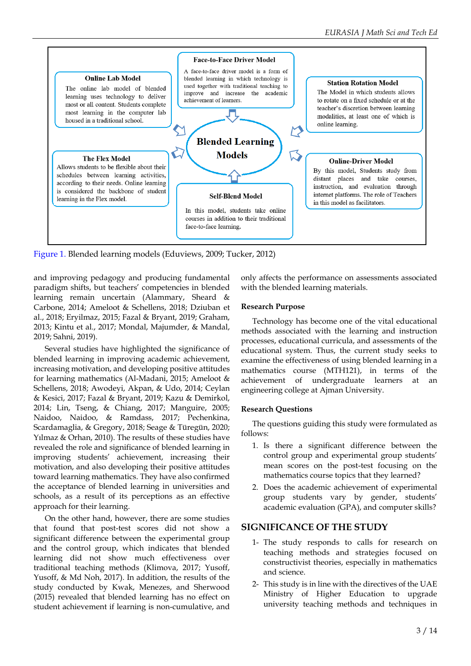

Figure 1. Blended learning models (Eduviews, 2009; Tucker, 2012)

and improving pedagogy and producing fundamental paradigm shifts, but teachers' competencies in blended learning remain uncertain (Alammary, Sheard & Carbone, 2014; Ameloot & Schellens, 2018; Dziuban et al., 2018; Eryilmaz, 2015; Fazal & Bryant, 2019; Graham, 2013; Kintu et al., 2017; Mondal, Majumder, & Mandal, 2019; Sahni, 2019).

Several studies have highlighted the significance of blended learning in improving academic achievement, increasing motivation, and developing positive attitudes for learning mathematics (Al-Madani, 2015; Ameloot & Schellens, 2018; Awodeyi, Akpan, & Udo, 2014; Ceylan & Kesici, 2017; Fazal & Bryant, 2019; Kazu & Demirkol, 2014; Lin, Tseng, & Chiang, 2017; Manguire, 2005; Naidoo, Naidoo, & Ramdass, 2017; Pechenkina, Scardamaglia, & Gregory, 2018; Seage & Türegün, 2020; Yılmaz & Orhan, 2010). The results of these studies have revealed the role and significance of blended learning in improving students' achievement, increasing their motivation, and also developing their positive attitudes toward learning mathematics. They have also confirmed the acceptance of blended learning in universities and schools, as a result of its perceptions as an effective approach for their learning.

On the other hand, however, there are some studies that found that post-test scores did not show a significant difference between the experimental group and the control group, which indicates that blended learning did not show much effectiveness over traditional teaching methods (Klimova, 2017; Yusoff, Yusoff, & Md Noh, 2017). In addition, the results of the study conducted by Kwak, Menezes, and Sherwood (2015) revealed that blended learning has no effect on student achievement if learning is non-cumulative, and only affects the performance on assessments associated with the blended learning materials.

## **Research Purpose**

Technology has become one of the vital educational methods associated with the learning and instruction processes, educational curricula, and assessments of the educational system. Thus, the current study seeks to examine the effectiveness of using blended learning in a mathematics course (MTH121), in terms of the achievement of undergraduate learners at an engineering college at Ajman University.

### **Research Questions**

The questions guiding this study were formulated as follows:

- 1. Is there a significant difference between the control group and experimental group students' mean scores on the post-test focusing on the mathematics course topics that they learned?
- 2. Does the academic achievement of experimental group students vary by gender, students' academic evaluation (GPA), and computer skills?

## **SIGNIFICANCE OF THE STUDY**

- 1- The study responds to calls for research on teaching methods and strategies focused on constructivist theories, especially in mathematics and science.
- 2- This study is in line with the directives of the UAE Ministry of Higher Education to upgrade university teaching methods and techniques in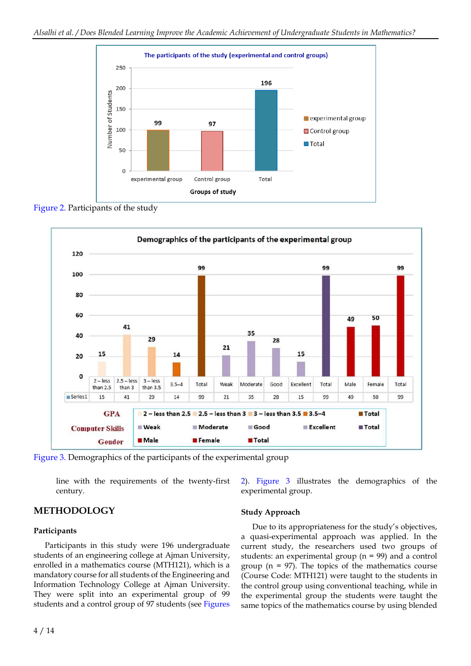

Figure 2. Participants of the study



Figure 3. Demographics of the participants of the experimental group

line with the requirements of the twenty-first century.

**METHODOLOGY**

### **Participants**

Participants in this study were 196 undergraduate students of an engineering college at Ajman University, enrolled in a mathematics course (MTH121), which is a mandatory course for all students of the Engineering and Information Technology College at Ajman University. They were split into an experimental group of 99 students and a control group of 97 students (see Figures

### **Study Approach**

experimental group.

Due to its appropriateness for the study's objectives, a quasi-experimental approach was applied. In the current study, the researchers used two groups of students: an experimental group (n = 99) and a control group ( $n = 97$ ). The topics of the mathematics course (Course Code: MTH121) were taught to the students in the control group using conventional teaching, while in the experimental group the students were taught the same topics of the mathematics course by using blended

2). Figure 3 illustrates the demographics of the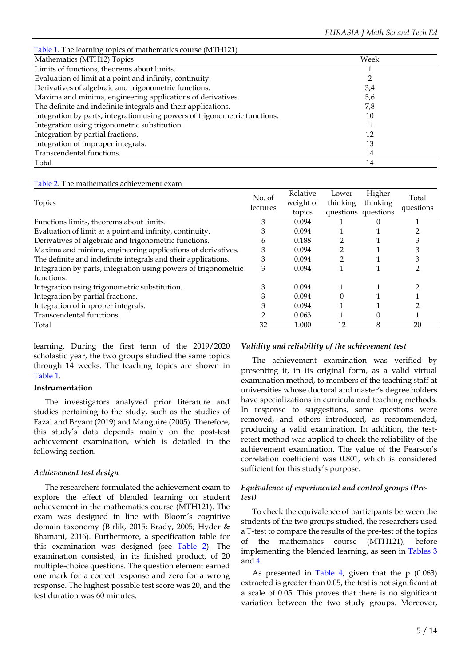| Table 1. The learning topics of mathematics course (MTH121)                |      |  |
|----------------------------------------------------------------------------|------|--|
| Mathematics (MTH12) Topics                                                 | Week |  |
| Limits of functions, theorems about limits.                                |      |  |
| Evaluation of limit at a point and infinity, continuity.                   |      |  |
| Derivatives of algebraic and trigonometric functions.                      | 3,4  |  |
| Maxima and minima, engineering applications of derivatives.                | 5,6  |  |
| The definite and indefinite integrals and their applications.              | 7,8  |  |
| Integration by parts, integration using powers of trigonometric functions. | 10   |  |
| Integration using trigonometric substitution.                              | 11   |  |
| Integration by partial fractions.                                          | 12   |  |
| Integration of improper integrals.                                         | 13   |  |
| Transcendental functions.                                                  | 14   |  |
| Total                                                                      | 14   |  |

| Topics                                                          | No. of<br>lectures | Relative<br>weight of<br>topics | Lower<br>thinking<br>questions questions | Higher<br>thinking | Total<br>questions |
|-----------------------------------------------------------------|--------------------|---------------------------------|------------------------------------------|--------------------|--------------------|
| Functions limits, theorems about limits.                        | 3                  | 0.094                           |                                          |                    |                    |
| Evaluation of limit at a point and infinity, continuity.        | З                  | 0.094                           |                                          |                    |                    |
| Derivatives of algebraic and trigonometric functions.           | 6                  | 0.188                           |                                          |                    |                    |
| Maxima and minima, engineering applications of derivatives.     | 3                  | 0.094                           |                                          |                    |                    |
| The definite and indefinite integrals and their applications.   | 3                  | 0.094                           |                                          |                    |                    |
| Integration by parts, integration using powers of trigonometric | 3                  | 0.094                           |                                          |                    |                    |
| functions.                                                      |                    |                                 |                                          |                    |                    |
| Integration using trigonometric substitution.                   | 3                  | 0.094                           |                                          |                    |                    |
| Integration by partial fractions.                               | 3                  | 0.094                           |                                          |                    |                    |
| Integration of improper integrals.                              | 3                  | 0.094                           |                                          |                    |                    |
| Transcendental functions.                                       | ົ                  | 0.063                           |                                          | $\Omega$           |                    |
| Total                                                           | 32                 | 1.000                           | 12                                       | 8                  | 20                 |

learning. During the first term of the 2019/2020 scholastic year, the two groups studied the same topics through 14 weeks. The teaching topics are shown in Table 1.

### **Instrumentation**

The investigators analyzed prior literature and studies pertaining to the study, such as the studies of Fazal and Bryant (2019) and Manguire (2005). Therefore, this study's data depends mainly on the post-test achievement examination, which is detailed in the following section.

### *Achievement test design*

The researchers formulated the achievement exam to explore the effect of blended learning on student achievement in the mathematics course (MTH121). The exam was designed in line with Bloom's cognitive domain taxonomy (Birlik, 2015; Brady, 2005; Hyder & Bhamani, 2016). Furthermore, a specification table for this examination was designed (see Table 2). The examination consisted, in its finished product, of 20 multiple-choice questions. The question element earned one mark for a correct response and zero for a wrong response. The highest possible test score was 20, and the test duration was 60 minutes.

## *Validity and reliability of the achievement test*

The achievement examination was verified by presenting it, in its original form, as a valid virtual examination method, to members of the teaching staff at universities whose doctoral and master's degree holders have specializations in curricula and teaching methods. In response to suggestions, some questions were removed, and others introduced, as recommended, producing a valid examination. In addition, the testretest method was applied to check the reliability of the achievement examination. The value of the Pearson's correlation coefficient was 0.801, which is considered sufficient for this study's purpose.

## *Equivalence of experimental and control groups (Pretest)*

To check the equivalence of participants between the students of the two groups studied, the researchers used a T-test to compare the results of the pre-test of the topics of the mathematics course (MTH121), before implementing the blended learning, as seen in Tables 3 and 4.

As presented in Table 4, given that the p (0.063) extracted is greater than 0.05, the test is not significant at a scale of 0.05. This proves that there is no significant variation between the two study groups. Moreover,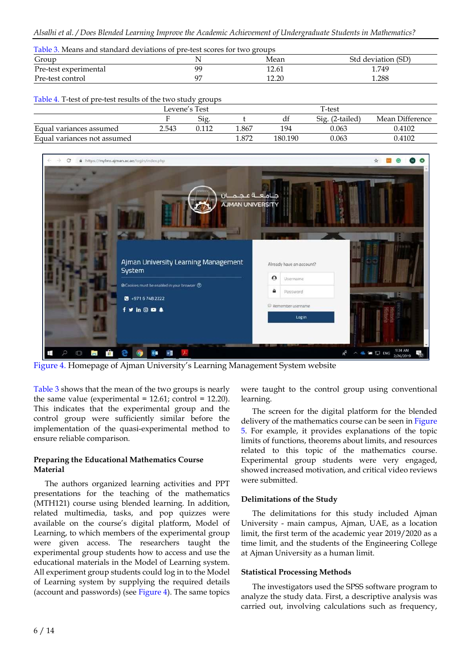| Table 3. Means and standard deviations of pre-test scores for two groups |               |       |                    |  |  |  |  |
|--------------------------------------------------------------------------|---------------|-------|--------------------|--|--|--|--|
| Group                                                                    |               | Mean  | Std deviation (SD) |  |  |  |  |
| Pre-test experimental                                                    | <sub>QC</sub> | 12.61 | 1.749              |  |  |  |  |
| Pre-test control                                                         | 97            | 12.20 | 1.288              |  |  |  |  |

Table 4. T-test of pre-test results of the two study groups

|                             | Levene's Test |      |       |         | T-test                  |                 |
|-----------------------------|---------------|------|-------|---------|-------------------------|-----------------|
|                             |               | Sig. |       | αı      | $Si\sigma$ . (2-tailed) | Mean Difference |
| Equal variances assumed     | 2.543         |      | 1.867 | 194     | 0.063                   | 0.4102          |
| Equal variances not assumed |               |      | 1.872 | 180.190 | 0.063                   | 0.4102          |



Figure 4. Homepage of Ajman University's Learning Management System website

Table 3 shows that the mean of the two groups is nearly the same value (experimental =  $12.61$ ; control =  $12.20$ ). This indicates that the experimental group and the control group were sufficiently similar before the implementation of the quasi-experimental method to ensure reliable comparison.

## **Preparing the Educational Mathematics Course Material**

The authors organized learning activities and PPT presentations for the teaching of the mathematics (MTH121) course using blended learning. In addition, related multimedia, tasks, and pop quizzes were available on the course's digital platform, Model of Learning, to which members of the experimental group were given access. The researchers taught the experimental group students how to access and use the educational materials in the Model of Learning system. All experiment group students could log in to the Model of Learning system by supplying the required details (account and passwords) (see Figure 4). The same topics

were taught to the control group using conventional learning.

The screen for the digital platform for the blended delivery of the mathematics course can be seen in Figure 5. For example, it provides explanations of the topic limits of functions, theorems about limits, and resources related to this topic of the mathematics course. Experimental group students were very engaged, showed increased motivation, and critical video reviews were submitted.

## **Delimitations of the Study**

The delimitations for this study included Ajman University - main campus, Ajman, UAE, as a location limit, the first term of the academic year 2019/2020 as a time limit, and the students of the Engineering College at Ajman University as a human limit.

## **Statistical Processing Methods**

The investigators used the SPSS software program to analyze the study data. First, a descriptive analysis was carried out, involving calculations such as frequency,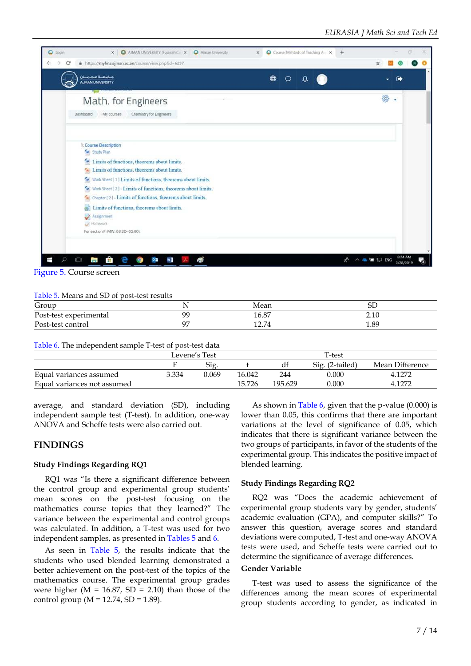

Figure 5. Course screen

#### Table 5. Means and SD of post-test results

| Group<br>the contract of the contract of the contract of |    | Mean  | ⊃ட   |  |
|----------------------------------------------------------|----|-------|------|--|
| Post-test experimental                                   | QQ | 16.87 | 2.10 |  |
| Post-test control                                        | റ⊤ | 12.74 | 1.89 |  |

Table 6. The independent sample T-test of post-test data

|                             |       | Levene's Test |        |        |                 |                 |
|-----------------------------|-------|---------------|--------|--------|-----------------|-----------------|
|                             |       | Sig.          |        | df     | Sig. (2-tailed) | Mean Difference |
| Equal variances assumed     | 3.334 | 0.069         | 16.042 | 244    | 0.000           | 4.1272          |
| Equal variances not assumed |       |               | 15.726 | 195629 | 0.000           | 1.1272          |

average, and standard deviation (SD), including independent sample test (T-test). In addition, one-way ANOVA and Scheffe tests were also carried out.

## **FINDINGS**

### **Study Findings Regarding RQ1**

RQ1 was "Is there a significant difference between the control group and experimental group students' mean scores on the post-test focusing on the mathematics course topics that they learned?" The variance between the experimental and control groups was calculated. In addition, a T-test was used for two independent samples, as presented in Tables 5 and 6.

As seen in Table 5, the results indicate that the students who used blended learning demonstrated a better achievement on the post-test of the topics of the mathematics course. The experimental group grades were higher ( $M = 16.87$ ,  $SD = 2.10$ ) than those of the control group ( $M = 12.74$ , SD = 1.89).

As shown in Table 6, given that the p-value (0.000) is lower than 0.05, this confirms that there are important variations at the level of significance of 0.05, which indicates that there is significant variance between the two groups of participants, in favor of the students of the experimental group. This indicates the positive impact of blended learning.

#### **Study Findings Regarding RQ2**

RQ2 was "Does the academic achievement of experimental group students vary by gender, students' academic evaluation (GPA), and computer skills?" To answer this question, average scores and standard deviations were computed, T-test and one-way ANOVA tests were used, and Scheffe tests were carried out to determine the significance of average differences.

## **Gender Variable**

T-test was used to assess the significance of the differences among the mean scores of experimental group students according to gender, as indicated in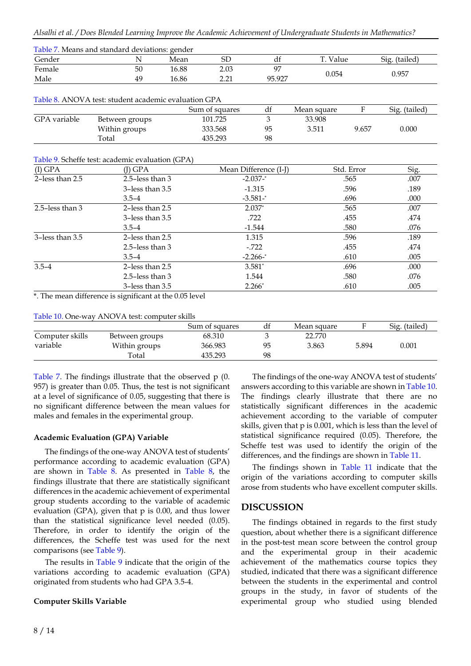| Table 7. Means and standard deviations: gender |    |       |      |                |          |               |  |
|------------------------------------------------|----|-------|------|----------------|----------|---------------|--|
| Gender                                         |    | Mean  | SD   | αr             | T. Value | Sig. (tailed) |  |
| Female                                         | 50 | 16.88 | 2.03 | Q <sub>7</sub> |          |               |  |
| Male                                           | 49 | 16.86 | າ າາ | 95.927         | 0.054    | 0.957         |  |

### Table 8. ANOVA test: student academic evaluation GPA

|              |                | Sum of squares | dt | Mean square |       | Sig. (tailed) |
|--------------|----------------|----------------|----|-------------|-------|---------------|
| GPA variable | Between groups | 101.725        |    | 33.908      |       |               |
|              | Within groups  | 333.568        | 95 | 3.511       | 9.657 | 0.000         |
|              | Total          | 435.293        | 98 |             |       |               |

### Table 9. Scheffe test: academic evaluation (GPA)

| (I) GPA           | (J) GPA              | Mean Difference (I-J) | Std. Error | Sig. |
|-------------------|----------------------|-----------------------|------------|------|
| 2-less than 2.5   | 2.5-less than $3$    | $-2.037 -$ *          | .565       | .007 |
|                   | 3-less than 3.5      | $-1.315$              | .596       | .189 |
|                   | $3.5 - 4$            | $-3.581 -$ *          | .696       | .000 |
| 2.5-less than $3$ | 2-less than $2.5$    | $2.037*$              | .565       | .007 |
|                   | $3$ -less than $3.5$ | .722                  | .455       | .474 |
|                   | $3.5 - 4$            | $-1.544$              | .580       | .076 |
| 3-less than 3.5   | 2-less than $2.5$    | 1.315                 | .596       | .189 |
|                   | 2.5-less than $3$    | $-722$                | .455       | .474 |
|                   | $3.5 - 4$            | $-2.266 -$ *          | .610       | .005 |
| $3.5 - 4$         | 2-less than 2.5      | $3.581*$              | .696       | .000 |
|                   | 2.5-less than $3$    | 1.544                 | .580       | .076 |
|                   | 3-less than 3.5      | $2.266*$              | .610       | .005 |

\*. The mean difference is significant at the 0.05 level

### Table 10. One-way ANOVA test: computer skills

|                 |                | Sum of squares | đf | Mean square |       | Sig. (tailed) |
|-----------------|----------------|----------------|----|-------------|-------|---------------|
| Computer skills | Between groups | 68.310         |    | 22.770      |       |               |
| variable        | Within groups  | 366.983        | 95 | 3.863       | 5.894 | 0.001         |
|                 | Total          | 435.293        | 98 |             |       |               |

Table 7. The findings illustrate that the observed p (0. 957) is greater than 0.05. Thus, the test is not significant at a level of significance of 0.05, suggesting that there is no significant difference between the mean values for males and females in the experimental group.

## **Academic Evaluation (GPA) Variable**

The findings of the one-way ANOVA test of students' performance according to academic evaluation (GPA) are shown in Table 8. As presented in Table 8, the findings illustrate that there are statistically significant differences in the academic achievement of experimental group students according to the variable of academic evaluation (GPA), given that p is 0.00, and thus lower than the statistical significance level needed (0.05). Therefore, in order to identify the origin of the differences, the Scheffe test was used for the next comparisons (see Table 9).

The results in Table 9 indicate that the origin of the variations according to academic evaluation (GPA) originated from students who had GPA 3.5-4.

### **Computer Skills Variable**

The findings of the one-way ANOVA test of students' answers according to this variable are shown in Table 10. The findings clearly illustrate that there are no statistically significant differences in the academic achievement according to the variable of computer skills, given that p is 0.001, which is less than the level of statistical significance required (0.05). Therefore, the Scheffe test was used to identify the origin of the differences, and the findings are shown in Table 11.

The findings shown in Table 11 indicate that the origin of the variations according to computer skills arose from students who have excellent computer skills.

## **DISCUSSION**

The findings obtained in regards to the first study question, about whether there is a significant difference in the post-test mean score between the control group and the experimental group in their academic achievement of the mathematics course topics they studied, indicated that there was a significant difference between the students in the experimental and control groups in the study, in favor of students of the experimental group who studied using blended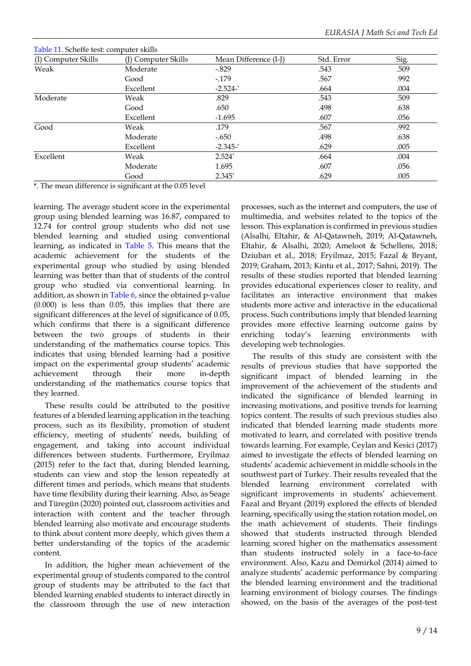| Table 11. Scheffe test: computer skills |                     |                       |            |      |
|-----------------------------------------|---------------------|-----------------------|------------|------|
| (I) Computer Skills                     | (J) Computer Skills | Mean Difference (I-J) | Std. Error | Sig. |
| Weak                                    | Moderate            | $-.829$               | .543       | .509 |
|                                         | Good                | $-179$                | .567       | .992 |
|                                         | Excellent           | $-2.524-$             | .664       | .004 |
| Moderate                                | Weak                | .829                  | .543       | .509 |
|                                         | Good                | .650                  | .498       | .638 |
|                                         | Excellent           | $-1.695$              | .607       | .056 |
| Good                                    | Weak                | .179                  | .567       | .992 |
|                                         | Moderate            | $-.650$               | .498       | .638 |
|                                         | Excellent           | $-2.345 -$ *          | .629       | .005 |
| Excellent                               | Weak                | $2.524*$              | .664       | .004 |
|                                         | Moderate            | 1.695                 | .607       | .056 |
|                                         | Good                | $2.345*$              | .629       | .005 |
|                                         |                     |                       |            |      |

 $T$  11. separately 1. Separately skills the skills of the skills of the skills of the skills of the skills of the skills of the skills of the skills of the skills of the skills of the skills of the skills of the skills of

\*. The mean difference is significant at the 0.05 level

learning. The average student score in the experimental group using blended learning was 16.87, compared to 12.74 for control group students who did not use blended learning and studied using conventional learning, as indicated in Table 5. This means that the academic achievement for the students of the experimental group who studied by using blended learning was better than that of students of the control group who studied via conventional learning. In addition, as shown in Table 6, since the obtained p-value (0.000) is less than 0.05, this implies that there are significant differences at the level of significance of 0.05, which confirms that there is a significant difference between the two groups of students in their understanding of the mathematics course topics. This indicates that using blended learning had a positive impact on the experimental group students' academic achievement through their more in-depth understanding of the mathematics course topics that they learned.

These results could be attributed to the positive features of a blended learning application in the teaching process, such as its flexibility, promotion of student efficiency, meeting of students' needs, building of engagement, and taking into account individual differences between students. Furthermore, Eryilmaz (2015) refer to the fact that, during blended learning, students can view and stop the lesson repeatedly at different times and periods, which means that students have time flexibility during their learning. Also, as Seage and Türegün (2020) pointed out, classroom activities and interaction with content and the teacher through blended learning also motivate and encourage students to think about content more deeply, which gives them a better understanding of the topics of the academic content.

In addition, the higher mean achievement of the experimental group of students compared to the control group of students may be attributed to the fact that blended learning enabled students to interact directly in the classroom through the use of new interaction

processes, such as the internet and computers, the use of multimedia, and websites related to the topics of the lesson. This explanation is confirmed in previous studies (Alsalhi, Eltahir, & Al-Qatawneh, 2019; Al-Qatawneh, Eltahir, & Alsalhi, 2020; Ameloot & Schellens, 2018; Dziuban et al., 2018; Eryilmaz, 2015; Fazal & Bryant, 2019; Graham, 2013; Kintu et al., 2017; Sahni, 2019). The results of these studies reported that blended learning provides educational experiences closer to reality, and facilitates an interactive environment that makes students more active and interactive in the educational process. Such contributions imply that blended learning provides more effective learning outcome gains by enriching today's learning environments with developing web technologies.

The results of this study are consistent with the results of previous studies that have supported the significant impact of blended learning in the improvement of the achievement of the students and indicated the significance of blended learning in increasing motivations, and positive trends for learning topics content. The results of such previous studies also indicated that blended learning made students more motivated to learn, and correlated with positive trends towards learning. For example, Ceylan and Kesici (2017) aimed to investigate the effects of blended learning on students' academic achievement in middle schools in the southwest part of Turkey. Their results revealed that the blended learning environment correlated with significant improvements in students' achievement. Fazal and Bryant (2019) explored the effects of blended learning, specifically using the station rotation model, on the math achievement of students. Their findings showed that students instructed through blended learning scored higher on the mathematics assessment than students instructed solely in a face-to-face environment. Also, Kazu and Demirkol (2014) aimed to analyze students' academic performance by comparing the blended learning environment and the traditional learning environment of biology courses. The findings showed, on the basis of the averages of the post-test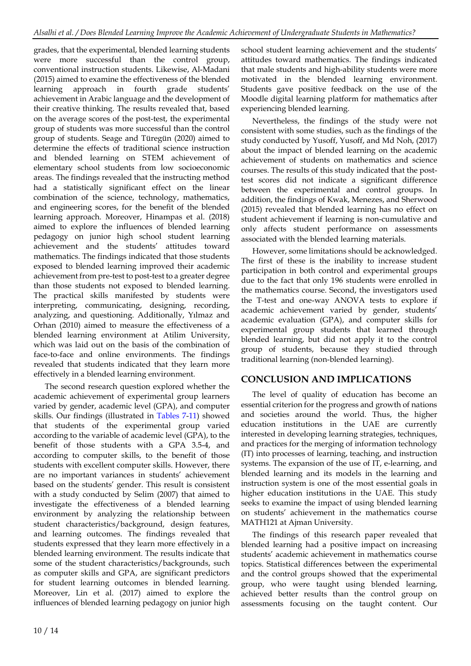grades, that the experimental, blended learning students were more successful than the control group, conventional instruction students. Likewise, Al-Madani (2015) aimed to examine the effectiveness of the blended learning approach in fourth grade students' achievement in Arabic language and the development of their creative thinking. The results revealed that, based on the average scores of the post-test, the experimental group of students was more successful than the control group of students. Seage and Türegün (2020) aimed to determine the effects of traditional science instruction and blended learning on STEM achievement of elementary school students from low socioeconomic areas. The findings revealed that the instructing method had a statistically significant effect on the linear combination of the science, technology, mathematics, and engineering scores, for the benefit of the blended learning approach. Moreover, Hinampas et al. (2018) aimed to explore the influences of blended learning pedagogy on junior high school student learning achievement and the students' attitudes toward mathematics. The findings indicated that those students exposed to blended learning improved their academic achievement from pre-test to post-test to a greater degree than those students not exposed to blended learning. The practical skills manifested by students were interpreting, communicating, designing, recording, analyzing, and questioning. Additionally, Yılmaz and Orhan (2010) aimed to measure the effectiveness of a blended learning environment at Atilim University, which was laid out on the basis of the combination of face-to-face and online environments. The findings revealed that students indicated that they learn more effectively in a blended learning environment.

The second research question explored whether the academic achievement of experimental group learners varied by gender, academic level (GPA), and computer skills. Our findings (illustrated in Tables 7-11) showed that students of the experimental group varied according to the variable of academic level (GPA), to the benefit of those students with a GPA 3.5-4, and according to computer skills, to the benefit of those students with excellent computer skills. However, there are no important variances in students' achievement based on the students' gender. This result is consistent with a study conducted by Selim (2007) that aimed to investigate the effectiveness of a blended learning environment by analyzing the relationship between student characteristics/background, design features, and learning outcomes. The findings revealed that students expressed that they learn more effectively in a blended learning environment. The results indicate that some of the student characteristics/backgrounds, such as computer skills and GPA, are significant predictors for student learning outcomes in blended learning. Moreover, Lin et al. (2017) aimed to explore the influences of blended learning pedagogy on junior high

school student learning achievement and the students' attitudes toward mathematics. The findings indicated that male students and high-ability students were more motivated in the blended learning environment. Students gave positive feedback on the use of the Moodle digital learning platform for mathematics after experiencing blended learning.

Nevertheless, the findings of the study were not consistent with some studies, such as the findings of the study conducted by Yusoff, Yusoff, and Md Noh, (2017) about the impact of blended learning on the academic achievement of students on mathematics and science courses. The results of this study indicated that the posttest scores did not indicate a significant difference between the experimental and control groups. In addition, the findings of Kwak, Menezes, and Sherwood (2015) revealed that blended learning has no effect on student achievement if learning is non-cumulative and only affects student performance on assessments associated with the blended learning materials.

However, some limitations should be acknowledged. The first of these is the inability to increase student participation in both control and experimental groups due to the fact that only 196 students were enrolled in the mathematics course. Second, the investigators used the T-test and one-way ANOVA tests to explore if academic achievement varied by gender, students' academic evaluation (GPA), and computer skills for experimental group students that learned through blended learning, but did not apply it to the control group of students, because they studied through traditional learning (non-blended learning).

## **CONCLUSION AND IMPLICATIONS**

The level of quality of education has become an essential criterion for the progress and growth of nations and societies around the world. Thus, the higher education institutions in the UAE are currently interested in developing learning strategies, techniques, and practices for the merging of information technology (IT) into processes of learning, teaching, and instruction systems. The expansion of the use of IT, e-learning, and blended learning and its models in the learning and instruction system is one of the most essential goals in higher education institutions in the UAE. This study seeks to examine the impact of using blended learning on students' achievement in the mathematics course MATH121 at Ajman University.

The findings of this research paper revealed that blended learning had a positive impact on increasing students' academic achievement in mathematics course topics. Statistical differences between the experimental and the control groups showed that the experimental group, who were taught using blended learning, achieved better results than the control group on assessments focusing on the taught content. Our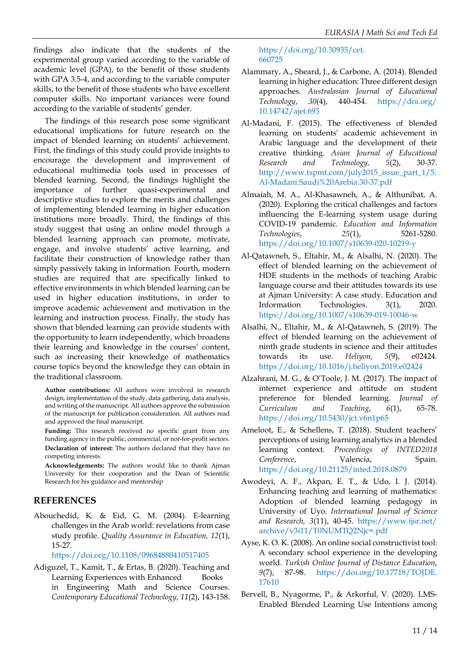findings also indicate that the students of the experimental group varied according to the variable of academic level (GPA), to the benefit of those students with GPA 3.5-4, and according to the variable computer skills, to the benefit of those students who have excellent computer skills. No important variances were found according to the variable of students' gender.

The findings of this research pose some significant educational implications for future research on the impact of blended learning on students' achievement. First, the findings of this study could provide insights to encourage the development and improvement of educational multimedia tools used in processes of blended learning. Second, the findings highlight the importance of further quasi-experimental and descriptive studies to explore the merits and challenges of implementing blended learning in higher education institutions more broadly. Third, the findings of this study suggest that using an online model through a blended learning approach can promote, motivate, engage, and involve students' active learning, and facilitate their construction of knowledge rather than simply passively taking in information. Fourth, modern studies are required that are specifically linked to effective environments in which blended learning can be used in higher education institutions, in order to improve academic achievement and motivation in the learning and instruction process. Finally, the study has shown that blended learning can provide students with the opportunity to learn independently, which broadens their learning and knowledge in the courses' content, such as increasing their knowledge of mathematics course topics beyond the knowledge they can obtain in the traditional classroom.

**Author contributions:** All authors were involved in research design, implementation of the study, data gathering, data analysis, and writing of the manuscript. All authors approve the submission of the manuscript for publication consideration. All authors read and approved the final manuscript.

Funding: This research received no specific grant from any funding agency in the public, commercial, or not-for-profit sectors. **Declaration of interest:** The authors declared that they have no competing interests.

**Acknowledgements:** The authors would like to thank Ajman University for their cooperation and the Dean of Scientific Research for his guidance and mentorship

## **REFERENCES**

Abouchedid, K. & Eid, G. M. (2004). E-learning challenges in the Arab world: revelations from case study profile. *Quality Assurance in Education, 12*(1), 15-27.

https://doi.org/10.1108/09684880410517405

Adiguzel, T., Kamit, T., & Ertas, B. (2020). Teaching and Learning Experiences with Enhanced Books in Engineering Math and Science Courses. *Contemporary Educational Technology, 11*(2), 143-158. https://doi.org/10.30935/cet. 660725

- Alammary, A., Sheard, J., & Carbone, A. (2014). Blended learning in higher education: Three different design approaches. *Australasian Journal of Educational Technology*, *30*(4), 440-454. https://doi.org/ 10.14742/ajet.693
- Al-Madani, F. (2015). The effectiveness of blended learning on students' academic achievement in Arabic language and the development of their creative thinking. *Asian Journal of Educational Research and Technology, 5*(2), 30-37. http://www.tspmt.com/july2015\_issue\_part\_1/5. Al-Madani.Saudi%20Arebia.30-37.pdf
- Almaiah, M. A., Al-Khasawneh, A., & Althunibat, A. (2020). Exploring the critical challenges and factors influencing the E-learning system usage during COVID-19 pandemic. *Education and Information Technologies*, *25*(1), 5261-5280. https://doi.org/10.1007/s10639-020-10219-y
- Al-Qatawneh, S., Eltahir, M., & Alsalhi, N. (2020). The effect of blended learning on the achievement of HDE students in the methods of teaching Arabic language course and their attitudes towards its use at Ajman University: A case study. Education and Information Technologies. 3(1), 2020. https://doi.org/10.1007/s10639-019-10046-w
- Alsalhi, N., Eltahir, M., & Al-Qatawneh, S. (2019). The effect of blended learning on the achievement of ninth grade students in science and their attitudes towards its use. *Heliyon, 5*(9), e02424. https://doi.org/10.1016/j.heliyon.2019.e02424
- Alzahrani, M. G., & O'Toole, J. M. (2017). The impact of internet experience and attitude on student preference for blended learning. *Journal of Curriculum and Teaching*, *6*(1), 65-78. https://doi.org/10.5430/jct.v6n1p65
- Ameloot, E., & Schellens, T. (2018). Student teachers' perceptions of using learning analytics in a blended learning context. *Proceedings of INTED2018* Conference, Valencia, Spain. https://doi.org/10.21125/inted.2018.0879
- Awodeyi, A. F., Akpan, E. T., & Udo, I. J. (2014). Enhancing teaching and learning of mathematics: Adoption of blended learning pedagogy in University of Uyo. *International Journal of Science and Research, 3*(11), 40-45. https://www.ijsr.net/ archive/v3i11/T0NUMTQ2Njc=.pdf
- Ayse, K. O. K. (2008). An online social constructivist tool: A secondary school experience in the developing world. *Turkish Online Journal of Distance Education*, *9*(7), 87-98. https://doi.org/10.17718/TOJDE. 17610
- Bervell, B., Nyagorme, P., & Arkorful, V. (2020). LMS-Enabled Blended Learning Use Intentions among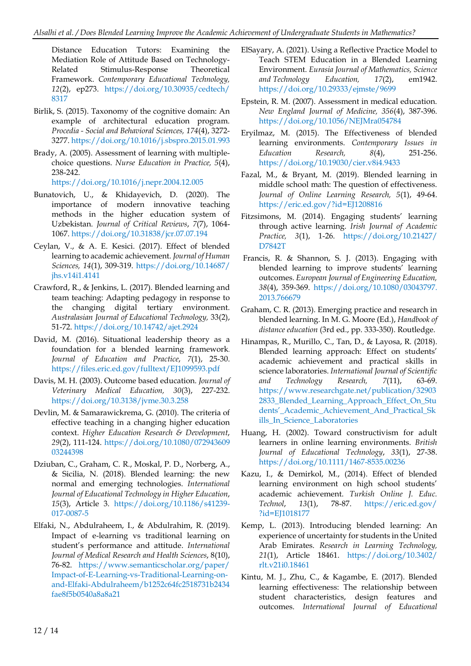Distance Education Tutors: Examining the Mediation Role of Attitude Based on Technology-Related Stimulus-Response Theoretical Framework. *Contemporary Educational Technology, 12*(2), ep273. https://doi.org/10.30935/cedtech/ 8317

- Birlik, S. (2015). Taxonomy of the cognitive domain: An example of architectural education program. *Procedia - Social and Behavioral Sciences, 174*(4), 3272- 3277. https://doi.org/10.1016/j.sbspro.2015.01.993
- Brady, A. (2005). Assessment of learning with multiplechoice questions. *Nurse Education in Practice, 5*(4), 238-242.

https://doi.org/10.1016/j.nepr.2004.12.005

- Bunatovich, U., & Khidayevich, D. (2020). The importance of modern innovative teaching methods in the higher education system of Uzbekistan. *Journal of Critical Reviews*, *7*(7), 1064- 1067. https://doi.org/10.31838/jcr.07.07.194
- Ceylan, V., & A. E. Kesici. (2017). Effect of blended learning to academic achievement. *Journal of Human Sciences, 14*(1), 309-319. https://doi.org/10.14687/ jhs.v14i1.4141
- Crawford, R., & Jenkins, L. (2017). Blended learning and team teaching: Adapting pedagogy in response to the changing digital tertiary environment. *Australasian Journal of Educational Technology,* 33(2), 51-72. https://doi.org/10.14742/ajet.2924
- David, M. (2016). Situational leadership theory as a foundation for a blended learning framework. *Journal of Education and Practice*, *7*(1), 25-30. https://files.eric.ed.gov/fulltext/EJ1099593.pdf
- Davis, M. H. (2003). Outcome based education. *Journal of Veterinary Medical Education, 30*(3), 227-232. https://doi.org/10.3138/jvme.30.3.258
- Devlin, M. & Samarawickrema, G. (2010). The criteria of effective teaching in a changing higher education context. *Higher Education Research & Development*, *29*(2), 111-124. https://doi.org/10.1080/072943609 03244398
- Dziuban, C., Graham, C. R., Moskal, P. D., Norberg, A., & Sicilia, N. (2018). Blended learning: the new normal and emerging technologies. *International Journal of Educational Technology in Higher Education*, *15*(3), Article 3. https://doi.org/10.1186/s41239- 017-0087-5
- Elfaki, N., Abdulraheem, I., & Abdulrahim, R. (2019). Impact of e-learning vs traditional learning on student's performance and attitude. *International Journal of Medical Research and Health Sciences*, 8(10), 76-82. https://www.semanticscholar.org/paper/ Impact-of-E-Learning-vs-Traditional-Learning-onand-Elfaki-Abdulraheem/b1252c64fc2518731b2434 fae8f5b0540a8a8a21
- ElSayary, A. (2021). Using a Reflective Practice Model to Teach STEM Education in a Blended Learning Environment. *Eurasia Journal of Mathematics, Science and Technology Education, 17*(2), em1942. https://doi.org/10.29333/ejmste/9699
- Epstein, R. M. (2007). Assessment in medical education. *New England Journal of Medicine, 356*(4), 387-396. https://doi.org/10.1056/NEJMra054784
- Eryilmaz, M. (2015). The Effectiveness of blended learning environments. *Contemporary Issues in Education Research, 8*(4), 251-256. https://doi.org/10.19030/cier.v8i4.9433
- Fazal, M., & Bryant, M. (2019). Blended learning in middle school math: The question of effectiveness. *Journal of Online Learning Research, 5*(1), 49-64. https://eric.ed.gov/?id=EJ1208816
- Fitzsimons, M. (2014). Engaging students' learning through active learning. *Irish Journal of Academic Practice, 3*(1), 1-26. https://doi.org/10.21427/ D7842T
- Francis, R. & Shannon, S. J. (2013). Engaging with blended learning to improve students' learning outcomes. *European Journal of Engineering Education, 38*(4), 359-369. https://doi.org/10.1080/03043797. 2013.766679
- Graham, C. R. (2013). Emerging practice and research in blended learning. In M. G. Moore (Ed.), *Handbook of distance education* (3rd ed., pp. 333-350). Routledge.
- Hinampas, R., Murillo, C., Tan, D., & Layosa, R. (2018). Blended learning approach: Effect on students' academic achievement and practical skills in science laboratories. *International Journal of Scientific and Technology Research, 7*(11), 63-69. https://www.researchgate.net/publication/32903 2833\_Blended\_Learning\_Approach\_Effect\_On\_Stu dents'\_Academic\_Achievement\_And\_Practical\_Sk ills\_In\_Science\_Laboratories
- Huang, H. (2002). Toward constructivism for adult learners in online learning environments. *British Journal of Educational Technology*, *33*(1), 27-38. https://doi.org/10.1111/1467-8535.00236
- Kazu, I., & Demirkol, M., (2014). Effect of blended learning environment on high school students' academic achievement. *Turkish Online J. Educ. Technol*, *13*(1), 78-87. https://eric.ed.gov/ ?id=EJ1018177
- Kemp, L. (2013). Introducing blended learning: An experience of uncertainty for students in the United Arab Emirates. *Research in Learning Technology, 21*(1), Article 18461. https://doi.org/10.3402/ rlt.v21i0.18461
- Kintu, M. J., Zhu, C., & Kagambe, E. (2017). Blended learning effectiveness: The relationship between student characteristics, design features and outcomes. *International Journal of Educational*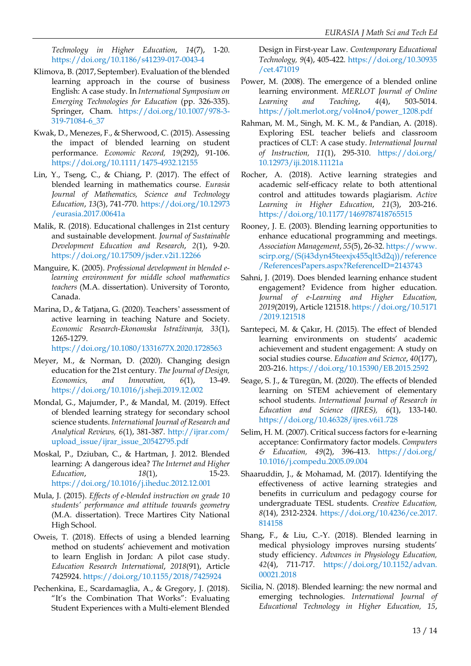*Technology in Higher Education*, *14*(7), 1-20. https://doi.org/10.1186/s41239-017-0043-4

- Klimova, B. (2017, September). Evaluation of the blended learning approach in the course of business English: A case study. In *International Symposium on Emerging Technologies for Education* (pp. 326-335). Springer, Cham. https://doi.org/10.1007/978-3- 319-71084-6\_37
- Kwak, D., Menezes, F., & Sherwood, C. (2015). Assessing the impact of blended learning on student performance. *Economic Record, 19*(292), 91-106. https://doi.org/10.1111/1475-4932.12155
- Lin, Y., Tseng, C., & Chiang, P. (2017). The effect of blended learning in mathematics course. *Eurasia Journal of Mathematics, Science and Technology Education*, *13*(3), 741-770. https://doi.org/10.12973 /eurasia.2017.00641a
- Malik, R. (2018). Educational challenges in 21st century and sustainable development. *Journal of Sustainable Development Education and Research*, *2*(1), 9-20. https://doi.org/10.17509/jsder.v2i1.12266
- Manguire, K. (2005). *Professional development in blended elearning environment for middle school mathematics teachers* (M.A. dissertation). University of Toronto, Canada.
- Marina, D., & Tatjana, G. (2020). Teachers' assessment of active learning in teaching Nature and Society. *Economic Research-Ekonomska Istraživanja, 33*(1), 1265-1279.

https://doi.org/10.1080/1331677X.2020.1728563

- Meyer, M., & Norman, D. (2020). Changing design education for the 21st century. *The Journal of Design, Economics, and Innovation, 6*(1), 13-49. https://doi.org/10.1016/j.sheji.2019.12.002
- Mondal, G., Majumder, P., & Mandal, M. (2019). Effect of blended learning strategy for secondary school science students. *International Journal of Research and Analytical Reviews, 6*(1), 381-387. http://ijrar.com/ upload\_issue/ijrar\_issue\_20542795.pdf
- Moskal, P., Dziuban, C., & Hartman, J. 2012. Blended learning: A dangerous idea? *The Internet and Higher Education*, *18*(1), 15-23. https://doi.org/10.1016/j.iheduc.2012.12.001
- Mula, J. (2015). *Effects of e-blended instruction on grade 10 students' performance and attitude towards geometry* (M.A. dissertation). Trece Martires City National High School.
- Oweis, T. (2018). Effects of using a blended learning method on students' achievement and motivation to learn English in Jordan: A pilot case study. *Education Research International*, *2018*(91), Article 7425924. https://doi.org/10.1155/2018/7425924
- Pechenkina, E., Scardamaglia, A., & Gregory, J. (2018). "It's the Combination That Works": Evaluating Student Experiences with a Multi-element Blended

Design in First-year Law. *Contemporary Educational Technology, 9*(4), 405-422. https://doi.org/10.30935 /cet.471019

- Power, M. (2008). The emergence of a blended online learning environment. *MERLOT Journal of Online Learning and Teaching*, *4*(4), 503-5014. https://jolt.merlot.org/vol4no4/power\_1208.pdf
- Rahman, M. M., Singh, M. K. M., & Pandian, A. (2018). Exploring ESL teacher beliefs and classroom practices of CLT: A case study. *International Journal of Instruction, 11*(1), 295-310. https://doi.org/ 10.12973/iji.2018.11121a
- Rocher, A. (2018). Active learning strategies and academic self-efficacy relate to both attentional control and attitudes towards plagiarism. *Active Learning in Higher Education*, *21*(3), 203-216. https://doi.org/10.1177/1469787418765515
- Rooney, J. E. (2003). Blending learning opportunities to enhance educational programming and meetings. *Association Management*, *55*(5), 26-32. https://www. scirp.org/(S(i43dyn45teexjx455qlt3d2q))/reference /ReferencesPapers.aspx?ReferenceID=2143743
- Sahni, J. (2019). Does blended learning enhance student engagement? Evidence from higher education. *Journal of e-Learning and Higher Education, 2019*(2019), Article 121518. https://doi.org/10.5171 /2019.121518
- Sarıtepeci, M. & Çakır, H. (2015). The effect of blended learning environments on students' academic achievement and student engagement: A study on social studies course. *Education and Science*, *40*(177), 203-216. https://doi.org/10.15390/EB.2015.2592
- Seage, S. J., & Türegün, M. (2020). The effects of blended learning on STEM achievement of elementary school students. *International Journal of Research in Education and Science (IJRES), 6*(1), 133-140. https://doi.org/10.46328/ijres.v6i1.728
- Selim, H. M. (2007). Critical success factors for e-learning acceptance: Confirmatory factor models. *Computers & Education, 49*(2), 396-413. https://doi.org/ 10.1016/j.compedu.2005.09.004
- Shaaruddin, J., & Mohamad, M. (2017). Identifying the effectiveness of active learning strategies and benefits in curriculum and pedagogy course for undergraduate TESL students. *Creative Education, 8*(14), 2312-2324. https://doi.org/10.4236/ce.2017. 814158
- Shang, F., & Liu, C.-Y. (2018). Blended learning in medical physiology improves nursing students' study efficiency. *Advances in Physiology Education, 42*(4), 711-717. https://doi.org/10.1152/advan. 00021.2018
- Sicilia, N. (2018). Blended learning: the new normal and emerging technologies. *International Journal of Educational Technology in Higher Education, 15*,